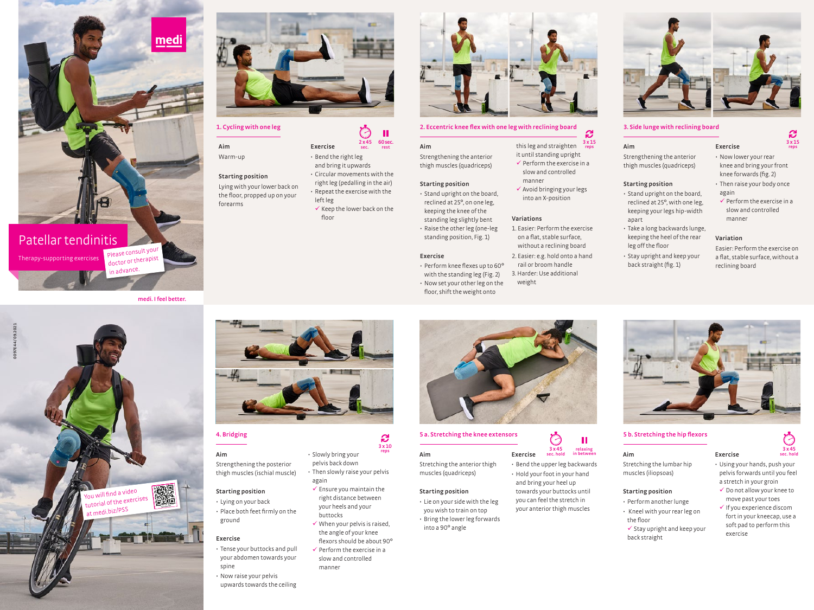





## **1. Cycling with one leg**

**Aim** Warm-up

![](_page_0_Picture_6.jpeg)

the floor, propped up on your forearms

**Starting position**

ground

**Exercise**

spine

• Place both feet firmly on the

• Tense your buttocks and pull your abdomen towards your

• Now raise your pelvis upwards towards the ceiling

#### • Bend the right leg and bring it upwards • Circular movements with the right leg (pedalling in the air) • Repeat the exercise with the left leg  $\checkmark$  Keep the lower back on the floor

**2 x 45 sec.**

 $\mathbb{C}^2$ 

**60 sec.**

Ш

• Slowly bring your pelvis back down

buttocks

manner

again

• Then slowly raise your pelvis

**3 x 10**

 $\checkmark$  Ensure you maintain the right distance between your heels and your

 $\checkmark$  When your pelvis is raised, the angle of your knee flexors should be about 90°  $\checkmark$  Perform the exercise in a slow and controlled

**Exercise**

![](_page_0_Picture_9.jpeg)

# **2. Eccentric knee flex with one leg with reclining board 3. Side lunge with reclining board**

it until standing upright  $\checkmark$  Perform the exercise in a slow and controlled

 $\checkmark$  Avoid bringing your legs into an X-position

1. Easier: Perform the exercise on a flat, stable surface, without a reclining board 2. Easier: e.g. hold onto a hand rail or broom handle 3. Harder: Use additional

manner

**Variations**

weight

**Aim** Strengthening the anterior thigh muscles (quadriceps) this leg and straighten **rest reps**

#### **Starting position**

• Stand upright on the board, reclined at 25°, on one leg, keeping the knee of the standing leg slightly bent

• Raise the other leg (one-leg standing position, Fig. 1)

#### **Exercise**

- Perform knee flexes up to 60°
- with the standing leg (Fig. 2)
- Now set your other leg on the floor, shift the weight onto

![](_page_0_Picture_19.jpeg)

# **4. Bridging 5 a. Stretching the knee extensors 5 b. Stretching the hip flexors**

**Aim** Stretching the anterior thigh muscles (quadriceps) **Exercise in between reps**

#### **Starting position**

• Lie on your side with the leg you wish to train on top • Bring the lower leg forwards into a 90° angle

![](_page_0_Picture_24.jpeg)

• Bend the upper leg backwards

![](_page_0_Picture_26.jpeg)

you can feel the stretch in your anterior thigh muscles

![](_page_0_Picture_28.jpeg)

### **Starting position**

apart

- Stand upright on the board, reclined at 25°, with one leg, keeping your legs hip-width • Take a long backwards lunge, again  $\checkmark$  Perform the exercise in a slow and controlled manner
- keeping the heel of the rear leg off the floor • Stay upright and keep your
- back straight (fig. 1)

**Variation** Easier: Perform the exercise on

• Then raise your body once

**3 x 15**

**S** 

a flat, stable surface, without a reclining board

![](_page_0_Picture_35.jpeg)

**Exercise**

**Aim** Stretching the lumbar hip muscles (iliopsoas)

### **Starting position**

- Perform another lunge • Kneel with your rear leg on the floor
	- $\checkmark$  Stay upright and keep your back straight
- Using your hands, push your pelvis forwards until you feel a stretch in your groin  $\checkmark$  Do not allow your knee to move past your toes  $\checkmark$  If you experience discom

**3 x 45**<br>sec. hold

Ō

fort in your kneecap, use a soft pad to perform this exercise

![](_page_0_Picture_44.jpeg)

• Hold your foot in your hand and bring your heel up towards your buttocks until